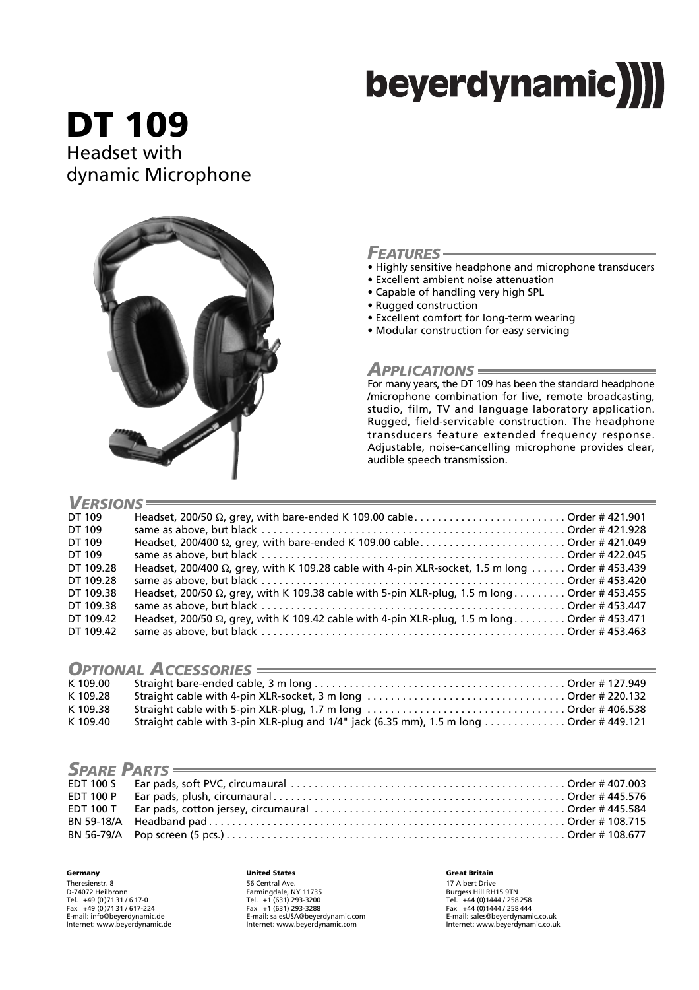# beyerdynamic)

**DT 109** Headset with dynamic Microphone



## *FEATURES*

- Highly sensitive headphone and microphone transducers
- Excellent ambient noise attenuation
- Capable of handling very high SPL
- Rugged construction
- Excellent comfort for long-term wearing
- Modular construction for easy servicing

## *APPLICATIONS*

For many years, the DT 109 has been the standard headphone /microphone combination for live, remote broadcasting, studio, film, TV and language laboratory application. Rugged, field-servicable construction. The headphone transducers feature extended frequency response. Adjustable, noise-cancelling microphone provides clear, audible speech transmission.

| $V$ ERSIONS $\equiv$ |                                                                                                          |  |  |  |
|----------------------|----------------------------------------------------------------------------------------------------------|--|--|--|
|                      |                                                                                                          |  |  |  |
| DT 109               |                                                                                                          |  |  |  |
| DT 109               |                                                                                                          |  |  |  |
| DT 109               |                                                                                                          |  |  |  |
| DT 109               |                                                                                                          |  |  |  |
| DT 109.28            | Headset, 200/400 $\Omega$ , grey, with K 109.28 cable with 4-pin XLR-socket, 1.5 m long  Order # 453.439 |  |  |  |
| DT 109.28            |                                                                                                          |  |  |  |
| DT 109.38            | Headset, 200/50 Ω, grey, with K 109.38 cable with 5-pin XLR-plug, 1.5 m long Order # 453.455             |  |  |  |
| DT 109.38            |                                                                                                          |  |  |  |
| DT 109.42            | Headset, 200/50 $\Omega$ , grey, with K 109.42 cable with 4-pin XLR-plug, 1.5 m long Order # 453.471     |  |  |  |
| DT 109.42            |                                                                                                          |  |  |  |

## *OPTIONAL ACCESSORIES*

| _________________________ |                                                                                        |  |  |  |
|---------------------------|----------------------------------------------------------------------------------------|--|--|--|
| K 109.00                  |                                                                                        |  |  |  |
| K 109.28                  |                                                                                        |  |  |  |
| K 109.38                  |                                                                                        |  |  |  |
| K 109.40                  | Straight cable with 3-pin XLR-plug and 1/4" jack (6.35 mm), 1.5 m long Order # 449.121 |  |  |  |

|  | SPARE PARTS |  |  |  |  |
|--|-------------|--|--|--|--|
|  |             |  |  |  |  |
|  |             |  |  |  |  |
|  |             |  |  |  |  |
|  |             |  |  |  |  |
|  |             |  |  |  |  |
|  |             |  |  |  |  |

**Germany** Theresienstr. 8 D-74072 Heilbronn Tel. +49 (0 )71 31 / 6 17-0 Fax +49 (0 )71 31 / 617-224 E-mail: info@beyerdynamic.de Internet: www.beyerdynamic.de

#### **United States**

56 Central Ave. Farmingdale, NY 11735 Tel. +1 (631) 293-3200 Fax +1 (631) 293-3288 E-mail: salesUSA@beyerdynamic.com Internet: www.beyerdynamic.com

#### **Great Britain**

17 Albert Drive Burgess Hill RH15 9TN Tel. +44 (0)1444 / 258 258 Fax +44 (0)1444 / 258 444 E-mail: sales@beyerdynamic.co.uk Internet: www.beyerdynamic.co.uk